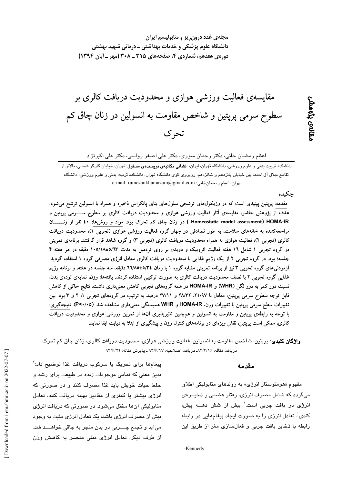مجلهی غدد درون ریز و متابولیسم ایران دانشگاه علوم پزشکی و خدمات بهداشتی ــ درمانی شهید بهشتی دوره ی هفدهم، شماره ی ۴، صفحههای ۳۱۵ ـ ۲۰۸ (مهر ـ آبان ۱۳۹۴)

# مقایسهی فعالیت ورزشی هوازی و محدودیت دریافت کالری بر سطوح سرمي پرپتين و شاخص مقاومت به انسولين در زنان چاق كم تحرك

اعظم رمضان خانی، دکتر رحمان سوری، دکتر علی اصغر رواسی، دکتر علی اکبرنژاد

دانشکدہ تربیت بدنی و علوم ورزشی، دانشگاہ تھران، ایران، **نشانی مکاتب<sup>ی</sup>ی نویسندہی مسئرل**: تھران، خیابان کارگر شمالی، بالاتر از .<br>تقاطع جلال آل احمد، بین خیابان پانزدهم و شانزدهم، روبروی کوی دانشگاه تهران، دانشکده تربیت بدنی و علوم ورزشی، دانشگاه تهران، اعظم رمضان خاني: e-mail: ramezankhaniazam@gmail.com

#### حكىدە

ىقالەى بۇمەشى

مقدمه: پرپتین پپتیدی است که در وزیکول&ای ترشحی سلولهای بتای پانکراس ذخیره و همراه با انسولین ترشح میشود. هدف از پژوهش حاضر، مقایسهی آثار فعالیت ورزشی هوازی و محدودیت دریافت کالری بر سطوح ســــــرمی پرپتین و Homeostatic model assessment) HOMA-IR ) در زنان چاق کم تحرک بود. مواد و روشها: ٤٠ نفر از زنـــــــان مراجعهکننده به خانههای سلامت، به طور تصادفی در چهار گروه فعالیت ورزشی هوازی (تجربی ۱)، محدودیت دریافت کالری (تجربی ۲). فعالیت هوازی به همراه محدودیت دریافت کالری (تجربی ۳) و گروه شاهد قرار گرفتند. برنامهی تمرینی در گروه تجربی ۱ شامل ۱۲ هفته فعالیت ائروبیک و دویدن بر روی تردمیل به مدت ۱۰۵/۱۸±۵/۱۲ دقیقه در هر هفته ۴ جلسه؛ بود. در گروه تجربی ۲ از یک رژیم غذایی با محدودیت دریافت کالری معادل انرژی مصرفی گروه ۱ استفاده گردید. آزمودنیهای گروه تجربی ۳نیز از برنامه تمرینی مشابه گروه ۱ با زمان ٤/٣٤±٦٦/٨٥ دقیقه، سه جلسه در هفته، و برنامه رژیم غذایی گروه تجربی ۲ با نصف محدودیت دریافت کالری به صورت ترکیبی استفاده کردند. یافتهها: وزن، نمایهی تودهی بدن، نسبت دور کمر به دور لگن (WHR) و HOMA-IR در همه گروههای تجربی کاهش معنیداری داشت. نتایج حاکی از کاهش قابل توجه سطوح سرمی پرپتین، معادل با ۲۱/۹۷، ۲۸/۳۲ و ۲۷/۱۱ درصد به ترتیب در گروههای تجربی ۱، ۲ و ۳ بود. بین تغییرات سطح سرمی پرپتین با تغییرات وزن، HOMA-IR و WHR همبستگی معنیداری مشاهده شد. (۶۷۰/۰۵). نتیجهگیری: با توجه به رابطهی پرپتین و مقاومت به انسولین و همچنین تاثیرپذیری آنها از تمرین ورزشی هوازی و محدودیت دریافت کالری، ممکن است پرپتین، نقش ویژهای در برنامههای کنترل وزن و پیشگیری از ابتلا به دیابت ایفا نماید.

**واژگان کلیدی**: پرپتین، شاخص مقاومت به انسولین، فعالیت ورزشی هوازی، محدودیت دریافت کالری، زنان چاق کم تحرک دريافت مقاله: ٩٣/٤/٢/٤- دريافت اصلاحيه: ٩٣/٤/١٧ ـ پذيرش مقاله: ٩٣/٤/٢٢

#### مقدمه

مفهوم «هومئوستاز انرژی» به روندهای متابولیکی اطلاق می،گردد که شامل مصرف انرژی، رفتار هضمی و ذخیــرهی انرژی در بافت چربی است.<sup>\</sup> بیش از شش دهـــه پیش، کندی<sup>:</sup> تعادل انرژی را به صورت ایجاد پیغامهایی در رابطه رابطه با ذخایر بافت چربی و فعالسازی مغز از طریق این

پیغامها برای تحریک یا سرکوب دریافت غذا توضیح داد؛<sup>۲</sup> بدین معنی که تمامی موجودات زنده در طبیعت برای رشد و حفظ حیات خویش باید غذا مصرف کنند و در صورتی که انرژی بیشتر یا کمتری از مقادیر بهینه دریافت کنند، تعادل متابوليکي آنها مختل مي شود. در صورتي که دريافت انرژي بیش از مصرف انرژی باشد، یک تعادل انرژی مثبت به وجود ميآيد و تجمع چــــربي در بدن منجر به چاقي خواهــــد شد. از طرف دیگر، تعادل انرژی منفی منجــر به کاهـش وزن

i-Kennedy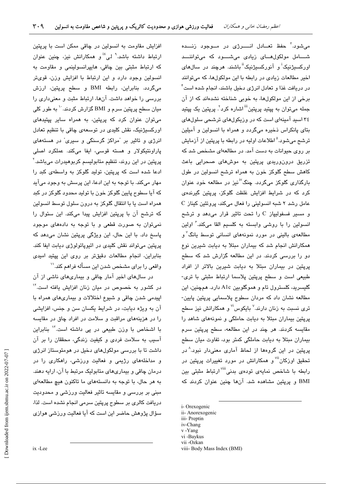می شود.<sup>۳</sup> حفظ تعـادل انــــرژی در مــوجود زنـــده شـــامل مولکولهــای زیادی می،شـــود که می،تواننـــد اورکسنژنیک<sup>ا</sup>ً و آنورکسنژننگ<sup>اا</sup> باشند. هرچند در سالها*ی* اخیر مطالعات زیادی در رابطه با این مولکولها، که میتوانند در دریافت غذا و تعادل انرژی دخیل باشند، انجام شده است ٔ برخی از این مولکولها، به خوبی شناخته نشدهاند که از آن جمله میتوان به پپتید پرپتین<sup>!!!</sup> اشاره کرد<sup>۲</sup>. پرپتین یک پپتید ۳٤ اسید آمینهای است که در وزیکولهای ترشحی سلولهای بتای پانکراس ذخیره میگردد و همراه با انسولین و آمیلین ترشح میشود.<sup>۵</sup> اطلاعات اولیه در رابطه با پرپتین از آزمایش بر روی حیوانات به دست آمد. در مطالعهای مشخص شد که تزریق درونوریدی پریتین به موشهای صحرایی باعث کاهش سطح گلوکز خون به همراه ترشح انسولین در طول بارگذاری گلوکز میگردد. چنگ<sup>۷</sup>نیز در مطالعه خود عنوان کرد که در شرایط افزایش غلظت گلوکز، پریتین گیرندهی C مامل رشد ۲ شبه انسولینی را فعال میکند، پروتئین کیناز و مسیر فسفولیاز C را تحت تاثیر قرار می دهد و ترشح انسولین را یا روشی وابسته به کلسیم القا میکند. ٔ اولین مطالعهی بالینی در مورد نمونههای انسانی توسط یانگ<sup>۷</sup>و همکارانش انجام شد که بیماران مبتلا به دیابت شیرین نوع دو را بررسی کردند. در این مطالعه گزارش شد که سطح پرپتین در بیماران مبتلا به دیابت شیرین بالاتر از افراد طبیعی است و سطح پرپتین پلاسما ارتباط مثبتی با تری-گلیسرید، کلسترول تام و هموگلوبین A1c دارد. همچنین، این مطالعه نشان داد که مردان سطوح پلاسمایی پرپتین پایین-تری نسبت به زنان دارند.<sup>۷</sup> بایکوس<sup>i۷</sup> و همکارانش نیز سطح پریتین بیماران مبتلا به دیابت حاملگی و نمونههای شاهد را مقایسه کردند. هر چند در این مطالعه، سطح پرپتین سرم بیماران مبتلا به دیابت حاملگی کمتر بود، تفاوت میان سطح پریتین در این گروهها از لحاظ آماری معنیدار نبود.^در تحقیق اوزکان<sup>iv</sup> و همکارانش در مورد ت**غ**ییرات پرپتین در رابطه با شاخص نمایهی تودهی بدنی<sup>iii ا</sup>رتباط مثبتی بین BMI و پریتین مشاهده شد. آنها چنین عنوان کردند که

- i-Orexogenic
- ii- Anorexogenic iii- Preptin
- iv-Chang
- v-Yang
- vi -Baykus
- vii-Ozkan

افزایش مقاومت به انسولین در چاقی ممکن است با پریتین ارتباط داشته باشد.<sup>۹</sup> لی<sup>×ن</sup>و همکارانش نیز، چنین عنوان که ارتباط مثبتی بین چاقی، هایپرانسولینمی و مقاومت به انسولین وجود دارد و این ارتباط با افزایش وزن، قویتر میگردد. بنابراین، رابطه BMI و سطح پرپتین، ارزش بررسی را خواهد داشت. آنها، ارتباط مثبت و معنیداری را میان سطح پرپتین سرم و BMI گزارش کردند. `` به طور کلی میتوان عنوان کرد که پرپتین، به همراه سایر پپتیدهای اورکستژنیک، نقش کلیدی در توسعهی چاقی با تنظیم تعادل انرژی و تاثیر بر "مراکز گرسنگی و سیری" در هستههای پاراونتيکولار و هسته قوسى، ايفا مى کند. عملکرد اصلى پریتین در این روند، تنظیم متابولسیم کربوهیدرات مےباشد.<sup>۲</sup> ادعا شده است که پرپتین، تولید گلوکز به واسطهی کبد را مهار میکند. با توجه به این ادعا، این پرسش به وجود میآید که آیا سطوح پایین گلوکز خون یا تولید محدود گلوکز در کند همراه است یا با انتقال گلوکز به درون سلول توسط انسولین که ترشح آن با پرپتین افزایش پیدا میکند. این سئوال را نمي توان په صورت قطعي و يا توجه په دادههاي موجود پاسخ داد. با این حال، این ویژگی پرپتین نشان میدهد که پرپتین میتواند نقش کلیدی در اتیوپاتولوژی دیابت ایفا کند. بنابراین، انجام مطالعات دقیقتر بر روی این پیتید امیدی واقعی را برای مشخص شدن این مسأله فراهم کند.''

در سالهای اخیر آمار چاقی و بیماریهای ناشی از آن در کشور به خصوص در میان زنان افزایش یافته است.<sup>۱۲</sup> اپیدمی شدن چاقی و شیوع اختلالات و بیماریهای همراه با آن به ویژه دیابت، در شرایط یکسان سن و جنس، افزایشی را در هزینههای مراقبت و سلامت در افراد چاق در مقایسه با اشخاص با وزن طبیعی در پی داشته است." بنابراین آسيب به سلامت فردي و كيفيت زندگي، محققان را بر آن داشت تا با بررسی مولکولهای دخیل در هومئوستاز انرژی و مداخلههای رژیمی و فعالیت ورزشی، راهکاری را در درمان چاقی و بیماریهای متابولیک مرتبط با آن، ارایه دهند. به هر حال، با توجه به دانستههای ما تاکنون هیچ مطالعهای مبنی بر بررسی و مقایسه تاثیر فعالیت ورزشی و محدودیت دریافت کالری بر سطوح پرپتین سرمی انجام نشده است. لذا، سؤال پژوهش حاضر این است که آیا فعالیت ورزشی هوازی

viii- Body Mass Index (BMI)

ix-Lee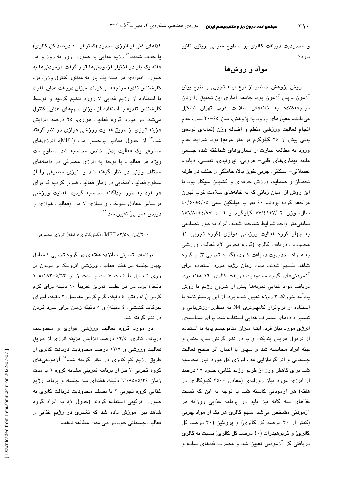و محدودیت دریافت کالری بر سطوح سرمی پرپتین تاثیر دار د؟

## مواد و روشها

روش پژوهش حاضر از نوع نیمه تجربی با طرح پیش آزمون ــ پس آزمون بود. جامعه آماری این تحقیق را زنان مراجعهکننده به خانههای سلامت غرب تهران تشکیل میدادند. معیارهای ورود به پژوهش، سن ٤٥-۳۰ سال، عدم انجام فعالیت ورزشی منظم و اضافه وزن (نمایهی تودهی بدنی بیش از ۲۰ کیلوگرم بر متر مربع) بود. شرایط عدم ورود به مطالعه عبارت از بیماریهای شناخته شده جسمی مانند بیماریهای قلبی- عروقی، تیروئیدی، تنفسی، دیابت، عضلانی- اسکلتی، چربی خون بالا، حاملگی و حذف دو طرفه تخمدان و ضمایم، ورزش حرفهای و کشیدن سیگار بود با این روش از میان زنانی که به خانههای سلامت غرب تهران مراجعه کرده بودند، ٤٠ نفر با ميانگين سني ٤٠/٥٠±٠/٥٠ سال، وزن ۷۷/٤٩±۷/۰۲ کیلوگرم و قــد ۱۵٦/۸۰±٤/۹۷ سانتی،متر واجد شرایط شناخته شدند. افراد به طور تصادفی به چهار گروه فعالیت ورزشی هوازی (گروه تجربی ۱)، محدودیت دریافت کالری (گروه تجربی ۲)، فعالیت ورزشی به همراه محدودیت دریافت کالری (گروه تجربی ۳) و گروه شاهد تقسیم شدند. مدت زمان رژیم مورد استفاده برای آزمودنیهای گروه محدودیت دریافت کالری، ١٦ هفته بود. دریافت مواد غذایی نمونهها پیش از شروع رژیم با روش یادآمد خوراک ۳ روزه تعیین شده بود. از این پرسشنامه با استفاده از نرمافزار کامپیوتری N4 به منظور ارزش بابی و تفسیر دادههای مصرف غذایی استفاده شد. برای محاسبهی انرژی مورد نیاز فرد، ابتدا میزان متابولیسم پایه با استفاده از فرمول هريس بنديكت و با در نظر گرفتن سن، جنس و جثه افراد محاسبه شد و سپس با اعمال اثر سطح فعالیت جسمانی و اثر گرمازایی غذا، انرژی کل مورد نیاز محاسبه شد. برای کاهش وزن از طریق رژیم غذایی، حدود ۲۵ درصد از انرژی مورد نیاز روزانهی (معادل ۳۵۰۰ کیلوکالری در هفته) هر آزمودنی کاسته شد. با توجه به این که نسبت غذاهای سه گانه نیز باید در برنامه غذایی روزانه هر آزمودنی مشخص میشد، سهم کالری هر یک از مواد چربی (کمتر از ۳۰ درصد کل کالری) و پروتئین (۳۰ درصد کل کالری) و کربوهیدرات (٤٠ درصد کل کالری) نسبت به کالری دریافتی کل آزمودنی تعیین شد و مصرف قندهای ساده و

غذاهای غنی از انرژی محدود (کمتر از ۱۰ درصد کل کالری) یا حذف شدند.<sup>۱۴</sup> رژیم غذایی به صورت روز به روز و هر هفته یک بار در اختیار آزمودنیها قرار گرفت. آزمودنیها به صورت انفرادی هر هفته یک بار به منظور کنترل وزن، نزد كارشناس تغذيه مراجعه مىكردند. ميزان دريافت غذايى افراد با استفاده از رژیم غذایی ۷ روزه تنظیم گردید و توسط کارشناس تغذیه با استفاده از میزان سهمهای غذایی کنترل میشد. در مورد گروه فعالیت هوازی، ۲۵ درصد افزایش هزینه انرژی از طریق فعالیت ورزشی هوازی در نظر گرفته شد." از جدول مقادیر برحسب مت (MET)، انرژیهای مصرفی یک فعالیت بدنی خاص محاسبه شد. سطوح مت ویژه هر فعالیت، با توجه به انرژی مصرفی در دامنههای مختلف وزنی در نظر گرفته شد و انرژی مصرفی را از سطوح فعالیت انتخابی در زمان فعالیت ضرب کردیم که برای هر فرد په طور چداگانه مجاسیه گردید. فعالیت ورزشی براساس معادل سوخت و سازی ۷ مت (فعالیت هوازی و دويدن عمومي) تعيين شد.<sup>۱۵</sup>

۲۰۰/(وزن×MET ×۳/۵): (کیلوکالری/دقیقه) انرژی مصرفی

برنامهی تمرینی شانزده هفتهای در گروه تجربی ۱ شامل چهار جلسه در هفته فعالیت ورزشی ائروبیک و دویدن بر روی تردمیل با شدت ۷ مت و مدت زمان ۱۰۰/۱۸۳±۰/۱۸۳ دقیقه؛ بود. در هر جلسه تمرین تقریباً ۱۰ دقیقه برای گرم كردن (راه رفتن: ٤ دقيقه، گرم كردن مفاصل: ٢ دقيقه، اجراى حركات كششى: ٤ دقيقه) و ٥ دقيقه زمان براي سرد كردن در نظر گرفته شد.

در مورد گروه فعالیت ورزشی هوازی و محدودیت دریافت کالری، ١٢/٥ درصد افزایش هزینه انرژی از طریق فعالیت ورزشی و ١٢/٥ درصد محدودیت دریافت کالری از طریق رژیم کم کالر*ی* در نظر گرفته شد.<sup>۱۴</sup> آزمودنیهای گروه تجربی ۳ نیز از برنامه تمرینی مشابه گروه ۱ با مدت زمان ٢٤/٥±٦٦/٨٥ دقيقه، هفتهاى سه جلسه، و برنامه رژيم غذایی گروه تجربی ۲ با نصف محدودیت دریافت کالری به صورت ترکیبی استفاده کردند (جدول ۱). به افراد گروه شاهد نیز آموزش داده شد که تغییری در رژیم غذایی و فعالیت جسمانی خود در طی مدت مطالعه ندهند.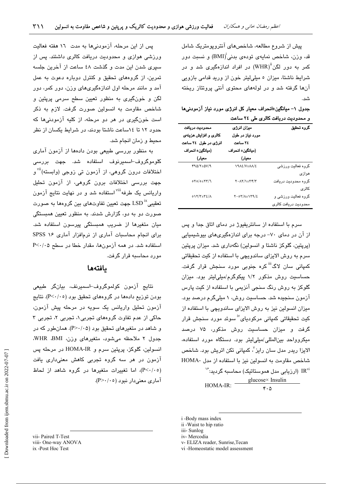پیش از شروع مطالعه، شاخصهای آنتروپومتریک شامل قد، وزن، شاخص نمایهی تودهی بدنی $\mathrm{(BMI)}^{\mathrm{l}}$  و نسبت دور کمر به دور لگن<sup>i(</sup>WHR) در افراد اندازهگیری شد و در شرایط ناشتا، میزان ٥ میلی لیتر خون از ورید قدامی بازویی آنها گرفته شد و در لولههای محتوی آنتی پروتئاز ریخته شد.<br>شد.

جدول ١- ميانگين±انحراف معيار كل انرژى مورد نياز آزمودنىها و محدودیت دریافت کالری طی ٢٤ ساعت

| محدوديت دريافت                        | ميزان انرژى                           | كروه تحقيق           |  |
|---------------------------------------|---------------------------------------|----------------------|--|
| كالرى و افزايش هزينهى                 | مورد نياز در طول                      |                      |  |
| انرژی در طول ۲٤ ساعت                  | ٢٤ ساعت                               |                      |  |
| (ميانگين± انـمراف                     | (ميانگين± انحراف                      |                      |  |
| معیار)                                | معيار)                                |                      |  |
| $490/\text{Y}$ =0 $\text{V}/\text{A}$ | <b>1912/V±11/2</b>                    | گروه فعالیت ورزشی    |  |
|                                       |                                       | هوازى                |  |
| $0 \, Y \, 0 / 0 + Y Y / 1$           | 7 . A7/1±34/3                         | گروه محدودیت دریافت  |  |
|                                       |                                       | كالرى                |  |
| $017/T_{\pm}72/\Lambda$               | $Y \cdot oY/\lambda \pm 1Y9/\epsilon$ | گروه فعالیت ورزشی و  |  |
|                                       |                                       | محدودیت دریافت کالری |  |

سرم با استفاده از سانتریفیوژ در دمای اتاق جدا و پس از آن در دمای ۷۰- درجه برای اندازهگیریهای بیوشیمیایی (پرپتین، گلوکز ناشتا و انسولین) نگهداری شد. میزان پرپتین سرم به روش الایزای ساندویچی یا استفاده از کیت تحقیقاتی کمپانی سان لاگ<sup>iii</sup> کره جنوبی مورد سنجش قرار گرفت. حساسیت روش مذکور ۱/۲ پیکوگرم/میلی لیتر بود. میزان گلوکز به روش رنگ سنجی آنزیمی یا استفاده از کیت پارس آزمون سنجیده شد. حساسیت روش، ۱ میلیگرم درصد بود. میزان انسولین نیز به روش الایزای ساندویچی با استفاده از کت تحقیقاتی کمیانی مرکودیای<sup>،ن</sup> سوئد مورد سنجش قرار گرفت و میزان حساسیت روش مذکور، ۷۵ درصد میکروواحد بین المللی /میلی لیتر بود. دستگاه مورد استفاده، الایزا ریدر مدل سان رایز<sup>۷</sup>، کمیانی تکن اتریش بود. شاخص شاخص مقاومت به انسولین نیز با استفاده از مدل -HOMA ارزیابی مدل هموستاتیک) محاسبه گردبد: $^{1/2}$ glucose× Insulin  $HOMA-IR:$  $4.1$ 

یس از این مرحله، آزمودنیها به مدت ١٦ هفته فعالیت ورزشی هوازی و محدودیت دریافت کالری داشتند. پس از سپری شدن این مدت و گذشت ٤٨ ساعت از آخرین جلسه تمرین، از گروههای تحقیق و کنترل دوباره دعوت به عمل آمد و مانند مرحله اول اندازهگیریهای وزن، دور کمر، دور لگن و خون&ری به منظور تعبین سطح سرمی پریتین و شاخص مقاومت به انسولین صورت گرفت. لازم به ذکر است خونگیری در هر دو مرحله، از کلیه آزمودنیها که حدود ۱۲ تا ۱۶ساعت ناشتا بودند، در شرایط یکسان از نظر محيط و زمان انجام شد.

به منظور بررسی طبیعی بودن دادهها از آزمون آماری ۔<br>کلوموگروف<sup>ـــ</sup>اسمبرنوف استفاده شد. جهت بررس*ی* اختلافات درون گروهی، از آزمون تی زوجی (وابسته)''<sup>۷۱</sup> و جهت بررسی اختلافات برون گروهی، از آزمون تحلیل واریانس یک طرفه<sup>انا۷</sup>استفاده شد و در نهایت نتایج آزمون تعقیبی $\mathrm{LSD}^{\,\mathrm{tx}}$  جهت تعیین تفاوتهای بین گروهها به صورت صورت دو به دو، گزارش شدند. به منظور تعیین همبستگی مبان متغیرها از ضربب همستگی پیرسون استفاده شد. برای انجام محاسبات آماری از نرمافزار آماری ۱۶ SPSS استفاده شد. در همه آزمونها، مقدار خطا در سطح P<٠/٠۵ مورد محاسبه قرار گرفت.

نتايج آزمون كولموگروف-اسميرنف، بيانگر طبيعي بودن توزیع دادهها در گروههای تحقیق بود (P<۰/۰٥). نتایج آزمون تحلیل واریانس یک سویه در مرحله پیش آزمون، حاکی از عدم تفاوت گروههای تجربی۱، تجربی ۲، تجربی ۳ و شاهد در متغیرهای تحقیق بود (P>٠/٠۵). همانطور که در جدول ٢ ملاحظه مي شود، متغيرهاي وزن، WHR ،BMI، انسولين، گلوكز، پريتين سرم و HOMA-IR در مرحله پس آزمون در هر سه گروه تجربی کاهش معنیداری یافت (P<۰/۰٥)، اما تغییرات متغیرها در گروه شاهد از لحاظ آماري معني دار نبو د (٢٠/٠٥).

بافتهها

vii- Paired T-Test viii- One-way ANOVA ix -Post Hoc Test

i -Body mass index

ii -Waist to hip ratio

iii- Sunlog

iv-Mercodia

v- ELIZA reader, Sunrise, Tecan

vi -Homeostatic model assessment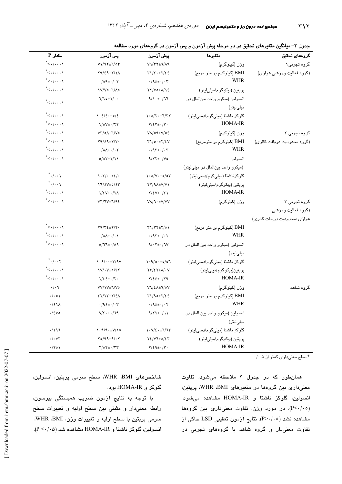| $P$ مقدار.                                                | ڀس آزمون                                                                            | پیش آزمون                                                                          | متغيرها                             | گروههای تحقیق               |  |
|-----------------------------------------------------------|-------------------------------------------------------------------------------------|------------------------------------------------------------------------------------|-------------------------------------|-----------------------------|--|
| $\overline{\cdot}$ . $/ \cdot \cdot \cdot \setminus$      | $V1/97\pm1/\sigma$                                                                  | $V1/TY+1/\Lambda$                                                                  | وزن (كيلوگرم)                       | گروہ تجربی۱                 |  |
| $\overline{\phantom{a}}$ < $\cdot$ / $\cdot$ $\cdot$ \    | $Y9/\epsilon$ 9± $Y/\lambda$                                                        | $\Upsilon\Upsilon/\Upsilon\cdot\pm\Upsilon/\xi\epsilon$                            | BMI (کیلوگرم بر متر مربع)           | (گروه فعالیت ورزشی هوازی)   |  |
| $^*<$ ./. $\ldots$                                        | $\cdot/\Lambda$ ٩ $\pm$ $\cdot/\cdot$ $\tau$                                        | $\cdot$ /92 + $\cdot$ / $\cdot$ $\tau$                                             | <b>WHR</b>                          |                             |  |
| $\overline{\phantom{a}}$ $\leftarrow$ / $\cdots$ )        | 1V/Vo±1/Ao                                                                          | $YY/V$ o $\pm \Lambda/\gamma$ {                                                    | پرپتین (پیکوگرم/میلیلیتر)           |                             |  |
| $\mathord{<}\cdot/\cdot\cdot\cdot\mathord{\setminus}$     | $\frac{1}{\sqrt{2}}$                                                                | $9/\lambda + \pm \frac{1}{2}\pi$                                                   | انسولين (ميكرو واحد بين الملل در    |                             |  |
|                                                           |                                                                                     |                                                                                    | میلیلیتر)                           |                             |  |
| $\ddot{}<\!\!\cdot/\!\!\cdot\cdot\cdot$ י                 | $\iota \cdot \varepsilon / \varepsilon \cdot \pm o / \varepsilon$ .                 | $\lambda \cdot \Lambda / \Upsilon \cdot \pm \Upsilon / \Upsilon \Upsilon$          | گلوکز ناشتا (میلیگرم/دسیلیتر)       |                             |  |
| $^*<$ ./. $\ldots$                                        | $\frac{1}{0}$ $\frac{1}{1}$                                                         | $\gamma/\epsilon\tau_{\pm}$ ./ $\tau$ .                                            | <b>HOMA-IR</b>                      |                             |  |
| $^\ast\!\! <\!\!\cdot\!/\!\!\cdot\!\cdot\!\cdot\setminus$ | V۳/٥Λ±٦/V٥                                                                          | $V \Lambda / o \Lambda \pm V / o \Sigma$                                           | وزن (كيلوگرم)                       | گروه تجربی ۲                |  |
| $\mathbf{K}$                                              | $Y9/\xi$ 9± $Y/Y$ .                                                                 | $\tau \gamma / 0.1 + \tau / 8V$                                                    | BMI (کیلوگرم بر مترمربع)            | (گروه محدودیت دریافت کالری) |  |
| $\overline{\phantom{a}}$ < $\cdot$ / $\cdot$ $\cdot$ \    | $\cdot/\lambda\lambda \pm \cdot/\cdot \tau$                                         | $\cdot$ /95 $\pm$ $\cdot$ / $\cdot$ 5                                              | <b>WHR</b>                          |                             |  |
| $\mathbf{K}$                                              | $0/\Lambda$ Y $\pm$ \/ \ \                                                          | $9/77 \pm 1/10$                                                                    | انسولين                             |                             |  |
|                                                           |                                                                                     |                                                                                    | (میکرو واحد بین الملل در میلی لیتر) |                             |  |
| $^*{\cdot}/\cdot\cdot$ \                                  | $\mathcal{N} \cdot \mathcal{L}/\cdot \cdot \pm \mathcal{E}/\cdot$                   | $\lambda \cdot \Lambda/V \cdot \pm o / o \tau$                                     | گلوکزناشتا (میلیگرم/دسیلیتر)        |                             |  |
| $^*$ ./ $\cdot$                                           | $11/2V \pm 0/2V$                                                                    | $YY/9A\pm V/V1$                                                                    | پرپتین (پیکوگرم/میلیلیتر)           |                             |  |
| $\overline{\phantom{a}}$ < $\cdot$ / $\cdot$ $\cdot$ \    | $\frac{1}{2}$ $\frac{1}{2}$                                                         | $Y/\Sigma V \pm \cdot /Y$                                                          | <b>HOMA-IR</b>                      |                             |  |
| $^*<$ $\cdot$ / $\cdot$ $\cdot$ $\setminus$               | $VY/1V\pm1/9E$                                                                      | VA/1 · ±V/VV                                                                       | وزن (كيلوگرم)                       | گروہ تجربی ۳                |  |
|                                                           |                                                                                     |                                                                                    |                                     | (گروه فعالیت ورزشى          |  |
|                                                           |                                                                                     |                                                                                    |                                     | هوازی+محدودیت دریافت کالری) |  |
| $\mathbf{K}$                                              | $Y9/Y\S\pm Y/Y$ .                                                                   | $\Upsilon\Upsilon\Upsilon\Upsilon\pm\Upsilon/\circ\Upsilon$                        | BMI (کیلوگرم بر متر مربع)           |                             |  |
| $^*<$ $\cdot$ / $\cdot$ $\cdot$ $\setminus$               | $\cdot/\Lambda\Lambda \pm \cdot/\cdot \Lambda$                                      | $\cdot$ /95± $\cdot$ / $\cdot$ 5                                                   | WHR                                 |                             |  |
| $^*<$ $\cdot$ / $\cdot$ $\cdot$ $\setminus$               | $0/77\pm$ $\cdot$ /19                                                               | $9/8.7\pm 0.7$                                                                     | انسولين (ميكرو واحد بين الملل در    |                             |  |
|                                                           |                                                                                     |                                                                                    | میلیلیتر)                           |                             |  |
| $^*$ י $\cdot$ י ל                                        | $\iota \cdot \epsilon / \iota \cdot \pm \tau / \eta V$                              | $\mathcal{N} \cdot \mathcal{N} / \circ \cdot \pm o / \circ \mathcal{N}$            | گلوکز ناشتا (میلیگرم/دسیلیتر)       |                             |  |
| $^*<$ $\cdot$ / $\cdot$ $\cdot$ $\setminus$               | $V/\cdot V_{\pm}$ 0/۳۲                                                              | $\tau\tau/\epsilon\tau \pm \Lambda/\cdot V$                                        | پرپتین(پیکوگرم/میلیلیتر)            |                             |  |
| $^*<\cdot/\cdot\cdot\cdot$                                | $\frac{1}{2}$ $\frac{1}{2}$ $\frac{1}{2}$ $\frac{1}{2}$ $\frac{1}{2}$ $\frac{1}{2}$ | $Y/\xi \xi \pm -/Y9$                                                               | HOMA-IR                             |                             |  |
| $\cdot/\cdot$ \                                           | VV/ \V± \/Vo                                                                        | VI/EA±I/0V                                                                         | وزن (کیلوگرم)                       | گروه شاهد                   |  |
| $\cdot/\cdot \circ \wedge$                                | $\Upsilon\Upsilon/\Upsilon\Upsilon\pm\Upsilon/\Sigma\Lambda$                        | $T1/90 \pm 7/22$                                                                   | BMI (کیلوگرم بر متر مربع)           |                             |  |
| $\cdot/2$ \ $\wedge$                                      | $\cdot$ /92± $\cdot$ / $\cdot$ ۳                                                    | $\cdot$ /92± $\cdot$ / $\cdot$ $\tau$                                              | <b>WHR</b>                          |                             |  |
| $\cdot$ /٤٧٥                                              | $9/\tau \cdot \pm \cdot 79$                                                         | $9/77 \pm 1/7$                                                                     | انسولين (ميكرو واحد بين الملل در    |                             |  |
|                                                           |                                                                                     |                                                                                    | میلیلیتر)                           |                             |  |
| .797                                                      | $\lambda \cdot \frac{9}{4} \cdot \pm \frac{V}{\lambda}$ 0                           | $\label{eq:1} \mathcal{N} \cdot \mathcal{N}/\xi \cdot \pm \mathcal{N}/\mathcal{N}$ | گلوکز ناشتا (میلیگرم/دسیلیتر)       |                             |  |
| $\cdot/\cdot$ $\vee\tau$                                  | $\Upsilon$ 0/99±9/ $\cdot$ $\Upsilon$                                               | 72/VJ± $\Lambda$ /23                                                               | پرپتین (پیکوگرم/میلیلیتر)           |                             |  |
| $\cdot$ /۲۰۱                                              | $Y/OY_{\pm} \cdot /YY$                                                              | $\gamma/\xi\eta_{\pm}$ .                                                           | HOMA-IR                             |                             |  |

جدول ۲– میانگین متغیرهای تحقیق در دو مرحله پیش آزمون و پس آزمون در گروههای مورد مطالعه

\*سطح معنىدارى كمتر از ۰/۰۵

همان طور که در جدول ۳ ملاحظه می شود، تفاوت معنیداری بین گروهها در متغیرهای WHR ،BMI، پرپتین، انسىولىن، گلوكز ناشتا و HOMA-IR مشاهده مىشود (P<۰/۰٥). در مورد وزن، تفاوت معنىدارى بين گروهها مشاهده نشد (P>٠/٠٥). نتايج آزمون تعقيبي LSD حاكي از تفاوت معنیدار و گروه شاهد با گروههای تجربی در

شاخصهای WHR ،BMI، سطح سرمی پرپتین، انسولین، گلوكز و HOMA-IR بود.

با توجه به نتایج آزمون ضریب همبستگی پیرسون، رابطه معنىدار و مثبتى بين سطح اوليه و تغييرات سطح سرمي پرپتين با سطح اوليه و تغييرات وزن، WHR ،BMI، انسولین، گلوکز ناشتا و HOMA-IR مشاهده شد (P < . / . 0).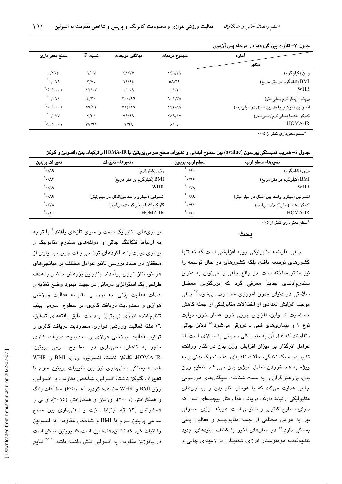| آماره                                       | مجموع مربعات                          | ميانگين مربعات        | $F$ نسبت             | سطح معنیداری                          |
|---------------------------------------------|---------------------------------------|-----------------------|----------------------|---------------------------------------|
| متغير                                       |                                       |                       |                      |                                       |
| وزن (کیلوگرم)                               | 127/T1                                | <b>EA/VV</b>          | $\sqrt{\cdot V}$     | $\cdot$ /۳۷٤                          |
| BMI (کیلوگرم بر متر مربع)                   | $0$ $\Lambda$ / $\Upsilon$ $\epsilon$ | 19/22                 | Y/V                  | $^{\ast}$ ۰/۰۱۹                       |
| <b>WHR</b>                                  | $\cdot/\cdot$ $\mathsf{y}$            | $\cdot/\cdot\cdot$ 9  | $\frac{1}{\sqrt{2}}$ | $\mathbf{K}$ . $\mathbf{K}$           |
| پرپتین (پیکوگرم/میلیلیتر)                   | 7.1/T <sub>A</sub>                    | $Y \cdot \cdot / \xi$ | $2/\tau$ .           | $\mathbf{L}$ .                        |
| انسولين (ميكرو واحد بين الملل در ميلي ليتر) | $157/\lambda$ 9                       | V12/Y9                | $09/\tau\tau$        | *<-/.--                               |
| گلوکز ناشتا (میلیگرم/دسیلیتر)               | YAYEV                                 | 95/99                 | $T/\epsilon$         | $\tilde{\cdot}$ / $\cdot$ $\times$ YV |
| <b>HOMA-IR</b>                              | $\Lambda/\cdot$ 0                     | Y/Y                   | TV/T                 | $\leq$ . $/$ \                        |
|                                             |                                       |                       |                      |                                       |

#### جدول ٣– تفاوت بين گروهها در مرحله پس آزمون

\*سطح معنىدارى كمتر از ۰/۰۵

جدول ٤– ضریب همبستگی پیرسون (pvalue) بین سطوح ابتدایی و تغییرات سطح سرمی پرپتین با HOMA-IR و ترکیبات بدن ، انسولین و گلوکز

| متغيرها– سطح اوليه                          | سطح اوليه پرپتين          | متعيرها– تغييرات                            | تغييرات پرپتين                      |
|---------------------------------------------|---------------------------|---------------------------------------------|-------------------------------------|
| وزن (کیلوگرم)                               | $^*$ $\cdot$ /9 $\cdot$   | وزن (کیلوگرم)                               | ົ•/∧۹                               |
| BMI (کیلوگرم بر متر مربع)                   | $^*.$ /۹۶                 | BMI (کیلوگرم بر متر مربع)                   | $\hat{\mathcal{L}}$ . $\mathcal{M}$ |
| WHR                                         | $\cdot$ / $\vee$ $\wedge$ | <b>WHR</b>                                  | ۰/۸۹ ً                              |
| انسولين (ميكرو واحد بين الملل در ميلي ليتر) | $\cdot$ /19               | انسولين (ميكرو واحد بين الملل در ميلي ليتر) | $^*$ ۰/۸۹                           |
| گلوکزناشتا (میلیگرم/دسیلیتر)                | ٬۰/۹۱                     | گلوکزناشتا (میلیگرم/دسیلیتر)                | $^*$ $\cdot$ /VA                    |
| <b>HOMA-IR</b>                              | .19.                      | <b>HOMA-IR</b>                              | $^*$ ./9.                           |
|                                             |                           |                                             |                                     |

\*سطح معنىدارى كمتر از ۰/۰۵

بحث

چاقی عارضه متابولیکی روبه افزایشی است که نه تنها کشورهای توسعه یافته، بلکه کشورهای در حال توسعه را نیز متاثر ساخته است. در واقع چاقی را میتوان به عنوان سندرم ّدنیای جدید ّ معرفی کرد که بزرگترین معضل سلامتی در دنیای مدرن امروزی محسوب میشود.<sup>۱۷</sup> چاقی موجب افزایش تعدادی از اختلالات متابولیکی از جمله کاهش حساسيت انسولين، افزايش چربي خون، فشار خون، ديابت نوع ۲ و بیماریهای قلبی ــ عروقی میشود.^` دلایل چاقی متفاوتند که علل آن به طور کلی محیطی یا مرکزی است. از عوامل اثرگذار بر میزان افزایش وزن بدن در کنار وراثت، تغییر در سبک زندگی، حالات تغذیهای، عدم تحرک بدنی و به ویژه به هم خوردن تعادل انرژی بدن میباشد. تنظیم وزن بدن، پژوهشگران را به سمت شناخت سیگنالهای هورمونی جالبی هدایت میکند که با هومئوستاز بدن و بیماریهای متابولیکی ارتباط دارند. دریافت غذا رفتار پیچیدهای است که دارای سطوح کنترلی و تنظیمی است. هزینه انرژی مصرفی نیز به عوامل مختلفی از جمله متابولیسم و فعالیت بدنی بستگی دارد.<sup>۱۹</sup> در سالهای اخیر با کشف پپتید*ه*ای جدید تنظیمکننده هومئوستاز انرژی، تحقیقات در زمینهی چاقی و

بیماریهای متابولیک سمت و سوی تازهای بافتند.<sup>۲</sup> با توجه به ارتباط تنگاتنگ چاقی و مولفههای سندرم متابولیک و بیماری دیابت با عملکردهای ترشحی بافت چربی، بسیاری از محققان در صدد بررسی تاثیر عوامل مختلف بر مبانجیهای هومئوستاز انرژی برآمدند. بنابراین پژوهش حاضر با هدف طراحي يک استراتژي درماني در جهت بهبود وضع تغذيه و عادات فعالیت بدنی، به بررسی مقایسه فعالیت ورزشی هوازی و محدودیت دریافت کالری، بر سطوح سرمی پیتید تنظيمكننده انرژى (پرپتين) پرداخت. طبق يافتههاى تحقيق، ١٦ هفته فعاليت ورزشي هوازي، محدوديت دريافت كالري و ترکیب فعالیت ورزشی هوازی و محدودیت دریافت کالری منجر به کاهش معنیداری در سطــوح سرمی پرپتین، HOMA-IR، گلوكز ناشتا، انسولين، وزن، BMI و WHR شد. همبستگی معنیداری نیز بین تغییرات پریتین سرم با تغییرات گلوکز ناشتا، انسولین، شاخص مقاومت به انسولین، وزز،،BMI و WHR مشاهده گردىد (P<۰/۰٥). مطالعات ىانگ و همکارانش (۲۰۰۹)، اوزکان و همکارانش (۲۰۱٤)، و لمی و همکارانش (٢٠١٣)، ارتباط مثبت و معنىدارى بين سطح سرمي پرپتين سرم با BMI و شاخص مقاومت به انسولين را اثبات کرد که نشاندهنده این است که پریتین ممکن است در پاتوژنز مقاومت به انسولین نقش داشته باشد. <sup>۷٬۹٬۱</sup>۰ نتایج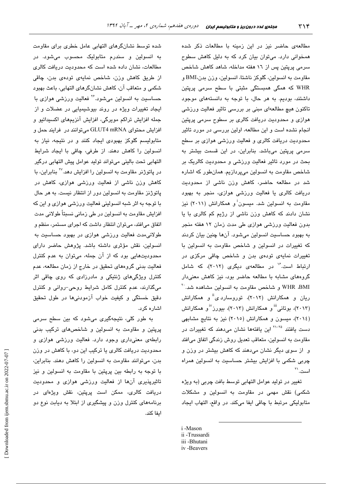شده توسط نشانگرهای التهابی عامل خطری برای مقاومت به انسولین و سندرم متابولیک محسوب میشود. در مطالعات، نشان داده شده است که محدودت دریافت کالری از طریق کاهش وزن، شاخص نمایهی تودهی بدن، چاقی شکمی و متعاقب آن، کاهش نشانگرهای التهابی، باعث بهبود حساسیت به انسولین میشود.<sup>۲۶</sup> فعالیت ورزشی هوازی با ایجاد تغییرات ویژه در روند بیوشیمیایی در عضلات و از جمله افزایش تراکم مویرگی، افزایش آنزیمهای اکسیداتیو و افزايش محتواي GLUT4 mRNA مي توانند در فرايند حمل و متابولیسم گلوکز بهبودی ایجاد کنند و در نتیجه، نیاز به انسولین را کاهش دهند. از طرفی، چاقی با ایجاد شرایط التھائی تحت بالبنی مے تواند تولید عوامل پیش التھائی درگیر در پاتوژنر مقاومت به انسولین را افزایش دهد.<sup>۲۷</sup> بنابراین، با کاهش وزن ناشی از فعالیت ورزشی هوازی، کاهش در یاتوژنز مقاومت به انسولین دور از انتظار نسبت. به هر حال با توجه به اثر شبه انسولینی فعالیت ورزشی هوازی و این که افزایش مقاومت به انسولین در طی زمانی نسبتاً طولانی مدت اتفاق می افتد، می تو ان انتظار داشت که اجرای مستمر، منظم و طولانیمدت فعالیت ورزشی هوازی در بهبود حساسیت به انسولین، نقش مؤثری داشته باشد. پژوهش حاضر دارای محدودیتهایی بود که از آن جمله، میتوان به عدم کنترل فعالیت بدنی گروههای تحقیق در خارج از زمان مطالعه، عدم کنترل ویژگیهای ژنتیکی و مادرزادی که روی چاقی اثر میگذارند، عدم کنترل کامل شرایط روحی-روانی و کنترل دقیق خستگی و کیفیت خواب آزمودنیها در طول تحقیق اشاره کرد.

به طور کلی، نتیجهگیری میشود که بین سطح سرمی پرپتین و مقاومت به انسولین و شاخصهای ترکیب بدنی رابطهی معنیداری وجود دارد. فعالیت ورزشی هوازی و محدودیت دریافت کالری یا ترکیب این دو، با کاهش در وزن بدن، میتوانند مقاومت به انسولین را کاهش دهند. بنابراین، با توجه به رابطه بین پرپتین با مقاومت به انسولین و نیز تاثیریذیری آنها از فعالیت ورزشی هوازی و محدودیت دریافت کالری، ممکن است پریتین، نقش ویژهای در برنامههای کنترل وزن و پیشگیری از ابتلا به دیابت نوع دو اىفا كند.

مطالعهی حاضر نیز در این زمینه با مطالعات ذکر شده همخوانی دارد. میتوان بیان کرد که به دلیل کاهش سطوح سرمی پرپتین پس از ۱۲ هفته مداخله، شاهد کاهش شاخص مقاومت به انسولین، گلوکز ناشتا، انسولین، وزن بدن،BMI و WHR که همگی همبستگی مثبتی با سطح سرمی پرپتین داشتند، بوديم. به هر حال، با توجه به دانستههای موجود تاکنون هیچ مطالعهای مبنی بر بررسی تاثیر فعالیت ورزشی هوازی و محدودیت دریافت کالری بر سطوح سرمی پرپتین انجام نشده است و این مطالعه، اولین بررسی در مورد تاثیر محدودیت دریافت کالری و فعالیت ورزشی هوازی بر سطح سرمی پرپتین میباشد. بنابراین، در این قسمت بیشتر به بحث در مورد تاثیر فعالیت ورزشی و محدودیت کالریک بر شاخص مقاومت به انسولین میپردازیم. همانطور که اشاره شد در مطالعه حاضر، کاهش وزن ناشی از محدودیت دریافت کالری یا فعالیت ورزشی هوازی، منجر به بهبود مقاومت به انسولین شد. میسون و همکارانش (۲۰۱۱) نیز نشان دادند که کاهش وزن ناشی از رژیم کم کالری با یا بدون فعالیت ورزشی هوازی طی مدت زمان ۱۲ هفته منجر به بهبود حساسیت انسولین میشود. آنها چنین بیان کردند كه تغييرات در انسولين و شاخص مقاومت به انسولين با تغییرات نمایهی تودهی بدن و شاخص چاقی مرکزی در ارتباط است.<sup>۱۶</sup> در مطالعهی دیگری (۲۰۱۲)، که شامل گروههای مشابه با مطالعه حاضر بود، نیز کاهش معنیدار WHR ،BMI و شاخص مقاومت به انسولین مشاهده شد. `` ریان و همکارانش (۲۰۱۲)، توروسارد ی<sup>4</sup> و همکارانش (۲۰۱۳)، بوتانی <sup>iii</sup> و همکارانش (۲۰۱۳)، بیورز<sup>vi</sup> و همکارانش (٢٠١٤)، میسون و همکارانش (٢٠١٥) نیز به نتایج مشابهی دست یافتند <sup>۲۵–۲۱</sup> این یافتهها نشان میدهند که <mark>تغیی</mark>رات در مقاومت به انسولین، متعاقب تعدیل روش زندگی اتفاق می افتد و از سوی دیگر نشان میدهند که کاهش بیشتر در وزن و چربی شکمی با افزایش بیشتر حساسیت به انسولین همراه است. ``

تغيير در توليد عوامل التهابي توسط بافت چربي (به ويژه شکمی) نقش مهمی در مقاومت به انسولین و مشکلات متابوليكي مرتبط با چاقى ايفا مى كند. در واقع، التهاب ايجاد

- i-Mason
- ii -Trussardi
- iii -Bhutani

iv-Beavers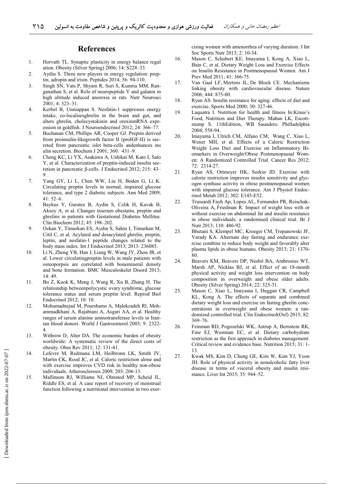### **References**

- 1. Horvath TL. Synaptic plasticity in energy balance regul ation. Obesity (Silver Spring) 2006; 14: S228–33.
- 2. Aydin S. Three new players in energy regulation: preptin, adropin and irisin. Peptides 2014; 56: 94-110.
- 3. Singh SN, Vats P, Shyam R, Suri S, Kumria MM, Ranganathan S, et al. Role of neuropeptide Y and galanin in high altitude induced anorexia in rats. Nutr Neurosci 2001; 4: 323–31.
- 4. Kerbel B, Unniappan S. Nesfatin-1 suppresses energy intake, co-localisesghrelin in the brain and gut, and alters ghrelin, cholecystokinin and orexinmRNA expression in goldfish. J Neuroendocrinol 2012; 24: 366–77.
- 5. Buchanan CM, Phillips AR, Cooper GJ. Preptin derived from proinsulin-likegrowth factor II (proIGF-II) is secreted from pancreatic islet beta-cells andenhances ins ulin secretion. Biochem J 2001; 360: 431–9.
- 6. Cheng KC, Li YX, Asakawa A, Ushikai M, Kato I, Sato Y, et al. Characterization of preptin-induced insulin secretion in pancreatic  $\beta$ -cells. J Endocrinol 2012; 215: 43– 9.
- 7. Yang GY, Li L, Chen WW, Liu H, Boden G, Li K. Circulating preptin levels in normal, impaired glucose tolerance, and type 2 diabetic subjects. Ann Med 2009; 41: 52–6.
- 8. Baykus Y, Gurates B, Aydin S, Celik H, Kavak B, Aksoy A, et al. Changes inserum obestatin, preptin and ghrelins in patients with Gestational Diabetes Mellitus. Clin Biochem 2012; 45: 198–202.
- 9. Ozkan Y, Timurkan ES, Aydin S, Sahin I, Timurkan M, Citil C, et al. Acylated and desacylated ghrelin, preptin, leptin, and nesfatin-1 peptide changes related to the body mass index. Int J Endocrinol 2013; 2013: 236085.
- 10. Li N, Zheng YB, Han J, Liang W, Wang JY, Zhou JR, et al. Lower circulatingpreptin levels in male patients with osteoporpsis are correlated with bonemineral density and bone formation. BMC Musculoskelet Disord 2013; 14: 49.
- 11. Bu Z, Kuok K, Meng J, Wang R, Xu B, Zhang H. The relationship betweenpolycystic ovary syndrome, glucose tolerance status and serum preptin level. Reprod Biol Endocrinol 2012; 10: 10.
- 12. Mohamadnejad M, Pourshams A, Malekzadeh Rl, Mohammadkhani A, Rajabiani A, Asgari AA, et al. Healthy ranges of serum alanine aminotransferase levels in Iranian blood donors. World J Gastroenterol 2003; 9: 2322- 4.
- 13. Withrow D, Alter DA. The economic burden of obesity worldwide: A systematic review of the direct costs of obesity. Obes Rev 2011; 12: 131-41.
- 14. Lefevre M, Redmana LM, Heilbronn LK, Smith JV, Martin CK, Rood JC, et al. Caloric restriction alone and with exercise improves CVD risk in healthy non-obese individuals. Atherosclerosis 2009; 203: 206-13.
- 15. Mallinson RJ, Williams NI, Olmsted MP, Scheid JL, Riddle ES, et al. A case report of recovery of menstrual function following a nutritional intervention in two exer-

cising women with amenorrhea of varying duration. J Int Soc Sports Nutr 2013; 2: 10-34.

- 16. Mason C, Schubert KE, Imayama I, Kong A, Xiao L, Bain C, et al. Dietary Weight Loss and Exercise Effects on Insulin Resistance in Postmenopausal Women. Am J Prev Med 2011; 41: 366-75.
- 17. Van Gaal LF, Mertens IL, De Block CE. Mechanisms linking obesity with cardiovascular disease. Nature 2006; 444: 875-80.
- 18. Ryan AS. Insulin resistance for aging: effects of diet and exercise. Sports Med 2000; 30: 327-46.
- 19. Laquatra I. Nutrition for health and fitness In:Kraus's Food, Nutrition and Diet Therapy. Mahan LK, Escottstump S. 11thEdition, WB Saunders: Philladelphia 2004; 558-94.
- 20. Imayama I, Ulrich CM, Alfano CM, Wang C, Xiao L, Wener MH, et al. Effects of a Caloric Restriction Weight Loss Diet and Exercise on Inflammatory Biomarkers in Overweight/Obese Postmenopausal Women: A Randomized Controlled Trial. Cancer Res 2012; 72: 2314-27.
- 21. Ryan AS, Ortmeyer HK, Sorkin JD. Exercise with calorie restriction improves insulin sensitivity and glycogen synthase activity in obese postmenopausal women with impaired glucose tolerance. Am J Physiol Endocrinol Metab 2012; 302: E145-E52.
- 22. Trussardi Fayh Ap, Lopes AL, Fernandes PR, Reischak-Oliveira A, Friedman R. Impact of weight loss with or without exercise on abdominal fat and insulin resistance in obese individuals: a randomised clinical trial. Br J Nutr 2013; 110: 486-92.
- 23. Bhutani S, Klempel MC, Kroeger CM, Trepanowski JF, Varady KA. Alternate day fasting and endurance exercise combine to reduce body weight and favorably alter plasma lipids in obese humans. Obesity 2013; 21: 1370- 80.
- 24. Beavers KM, Beavers DP, Nesbit BA, Ambrosius WT, Marsh AP, Nicklas BJ, et al. Effect of an 18-month physical activity and weight loss intervention on body composition in overweight and obese older adults. Obesity (Silver Spring) 2014; 22: 325-31.
- 25. Mason C, Xiao L, Imayama I, Duggan CR, Campbell KL, Kong A. The effects of separate and combined dietary weight loss and exercise on fasting ghrelin concentrations in overweight and obese women: a randomized controlled trial. Clin Endocrinol(Oxf) 2015; 82: 369–76.
- 26. Feinman RD, Pogozelski WK, Astrup A, Bernstein RK, Fine EJ, Westman EC, et al. Dietary carbohydrate restriction as the first approach in diabetes management: Critical review and evidence base. Nutrition 2015; 31: 1- 13.
- 27. Kwak MS, Kim D, Chung GE, Kim W, Kim YJ, Yoon JH. Role of physical activity in nonalcoholic fatty liver disease in terms of visceral obesity and insulin resistance. Liver Int 2015; 35: 944–52.